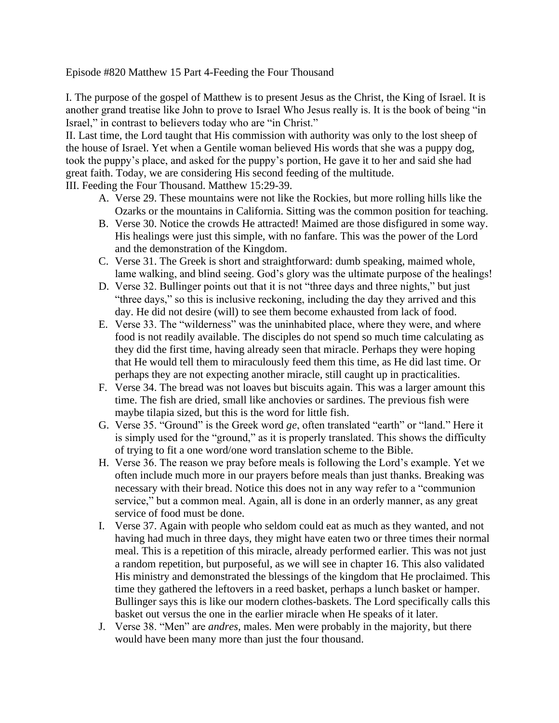Episode #820 Matthew 15 Part 4-Feeding the Four Thousand

I. The purpose of the gospel of Matthew is to present Jesus as the Christ, the King of Israel. It is another grand treatise like John to prove to Israel Who Jesus really is. It is the book of being "in Israel," in contrast to believers today who are "in Christ."

II. Last time, the Lord taught that His commission with authority was only to the lost sheep of the house of Israel. Yet when a Gentile woman believed His words that she was a puppy dog, took the puppy's place, and asked for the puppy's portion, He gave it to her and said she had great faith. Today, we are considering His second feeding of the multitude.

III. Feeding the Four Thousand. Matthew 15:29-39.

- A. Verse 29. These mountains were not like the Rockies, but more rolling hills like the Ozarks or the mountains in California. Sitting was the common position for teaching.
- B. Verse 30. Notice the crowds He attracted! Maimed are those disfigured in some way. His healings were just this simple, with no fanfare. This was the power of the Lord and the demonstration of the Kingdom.
- C. Verse 31. The Greek is short and straightforward: dumb speaking, maimed whole, lame walking, and blind seeing. God's glory was the ultimate purpose of the healings!
- D. Verse 32. Bullinger points out that it is not "three days and three nights," but just "three days," so this is inclusive reckoning, including the day they arrived and this day. He did not desire (will) to see them become exhausted from lack of food.
- E. Verse 33. The "wilderness" was the uninhabited place, where they were, and where food is not readily available. The disciples do not spend so much time calculating as they did the first time, having already seen that miracle. Perhaps they were hoping that He would tell them to miraculously feed them this time, as He did last time. Or perhaps they are not expecting another miracle, still caught up in practicalities.
- F. Verse 34. The bread was not loaves but biscuits again. This was a larger amount this time. The fish are dried, small like anchovies or sardines. The previous fish were maybe tilapia sized, but this is the word for little fish.
- G. Verse 35. "Ground" is the Greek word *ge*, often translated "earth" or "land." Here it is simply used for the "ground," as it is properly translated. This shows the difficulty of trying to fit a one word/one word translation scheme to the Bible.
- H. Verse 36. The reason we pray before meals is following the Lord's example. Yet we often include much more in our prayers before meals than just thanks. Breaking was necessary with their bread. Notice this does not in any way refer to a "communion service," but a common meal. Again, all is done in an orderly manner, as any great service of food must be done.
- I. Verse 37. Again with people who seldom could eat as much as they wanted, and not having had much in three days, they might have eaten two or three times their normal meal. This is a repetition of this miracle, already performed earlier. This was not just a random repetition, but purposeful, as we will see in chapter 16. This also validated His ministry and demonstrated the blessings of the kingdom that He proclaimed. This time they gathered the leftovers in a reed basket, perhaps a lunch basket or hamper. Bullinger says this is like our modern clothes-baskets. The Lord specifically calls this basket out versus the one in the earlier miracle when He speaks of it later.
- J. Verse 38. "Men" are *andres*, males. Men were probably in the majority, but there would have been many more than just the four thousand.